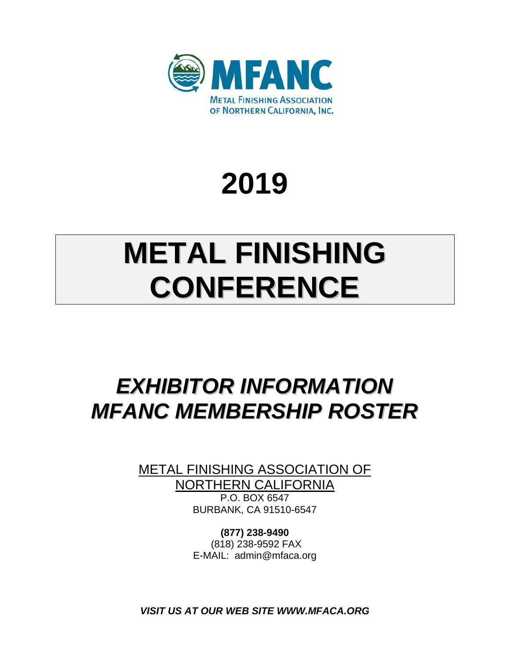

# **2019**

# **METAL FINISHING CONFERENCE**

## *EXHIBITOR INFORMATION MFANC MEMBERSHIP ROSTER*

METAL FINISHING ASSOCIATION OF NORTHERN CALIFORNIA P.O. BOX 6547 BURBANK, CA 91510-6547

> **(877) 238-9490**  (818) 238-9592 FAX E-MAIL: admin@mfaca.org

*VISIT US AT OUR WEB SITE WWW.MFACA.ORG*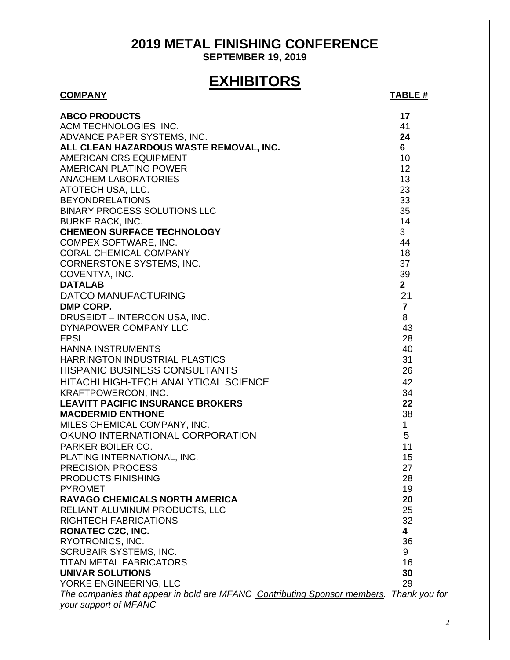## **2019 METAL FINISHING CONFERENCE**

**SEPTEMBER 19, 2019** 

## **EXHIBITORS**

| <b>COMPANY</b>                                                                          | <b>TABLE #</b>          |
|-----------------------------------------------------------------------------------------|-------------------------|
| <b>ABCO PRODUCTS</b>                                                                    | 17                      |
| ACM TECHNOLOGIES, INC.                                                                  | 41                      |
| ADVANCE PAPER SYSTEMS, INC.                                                             | 24                      |
| ALL CLEAN HAZARDOUS WASTE REMOVAL, INC.                                                 | 6                       |
| AMERICAN CRS EQUIPMENT                                                                  | 10                      |
| AMERICAN PLATING POWER                                                                  | 12                      |
| <b>ANACHEM LABORATORIES</b>                                                             | 13                      |
| ATOTECH USA, LLC.                                                                       | 23                      |
| <b>BEYONDRELATIONS</b>                                                                  | 33                      |
| <b>BINARY PROCESS SOLUTIONS LLC</b>                                                     | 35                      |
| <b>BURKE RACK, INC.</b>                                                                 | 14                      |
| <b>CHEMEON SURFACE TECHNOLOGY</b>                                                       | 3                       |
| COMPEX SOFTWARE, INC.                                                                   | 44                      |
| CORAL CHEMICAL COMPANY                                                                  | 18                      |
| <b>CORNERSTONE SYSTEMS, INC.</b>                                                        | 37                      |
| COVENTYA, INC.                                                                          | 39                      |
| <b>DATALAB</b>                                                                          | $\mathbf{2}$            |
| <b>DATCO MANUFACTURING</b>                                                              | 21                      |
| DMP CORP.                                                                               | $\overline{7}$          |
| DRUSEIDT - INTERCON USA, INC.                                                           | 8                       |
| DYNAPOWER COMPANY LLC                                                                   | 43                      |
| <b>EPSI</b>                                                                             | 28                      |
| <b>HANNA INSTRUMENTS</b>                                                                | 40                      |
| HARRINGTON INDUSTRIAL PLASTICS                                                          | 31                      |
| <b>HISPANIC BUSINESS CONSULTANTS</b>                                                    | 26                      |
| <b>HITACHI HIGH-TECH ANALYTICAL SCIENCE</b>                                             | 42                      |
| <b>KRAFTPOWERCON, INC.</b>                                                              | 34                      |
| <b>LEAVITT PACIFIC INSURANCE BROKERS</b>                                                | 22                      |
| <b>MACDERMID ENTHONE</b>                                                                | 38                      |
| MILES CHEMICAL COMPANY, INC.                                                            | $\mathbf{1}$            |
| OKUNO INTERNATIONAL CORPORATION                                                         | 5                       |
| PARKER BOILER CO.                                                                       | 11                      |
| PLATING INTERNATIONAL, INC.                                                             | 15                      |
| <b>PRECISION PROCESS</b>                                                                | 27                      |
| PRODUCTS FINISHING                                                                      | 28                      |
| <b>PYROMET</b>                                                                          | 19                      |
| <b>RAVAGO CHEMICALS NORTH AMERICA</b>                                                   | 20                      |
| RELIANT ALUMINUM PRODUCTS, LLC                                                          | 25                      |
| <b>RIGHTECH FABRICATIONS</b>                                                            | 32                      |
| <b>RONATEC C2C, INC.</b>                                                                | $\overline{\mathbf{4}}$ |
| RYOTRONICS, INC.                                                                        | 36                      |
| <b>SCRUBAIR SYSTEMS, INC.</b>                                                           | 9                       |
| <b>TITAN METAL FABRICATORS</b>                                                          | 16                      |
| <b>UNIVAR SOLUTIONS</b>                                                                 | 30                      |
| YORKE ENGINEERING, LLC                                                                  | 29                      |
| The companies that appear in bold are MFANC Contributing Sponsor members. Thank you for |                         |
| your support of MFANC                                                                   |                         |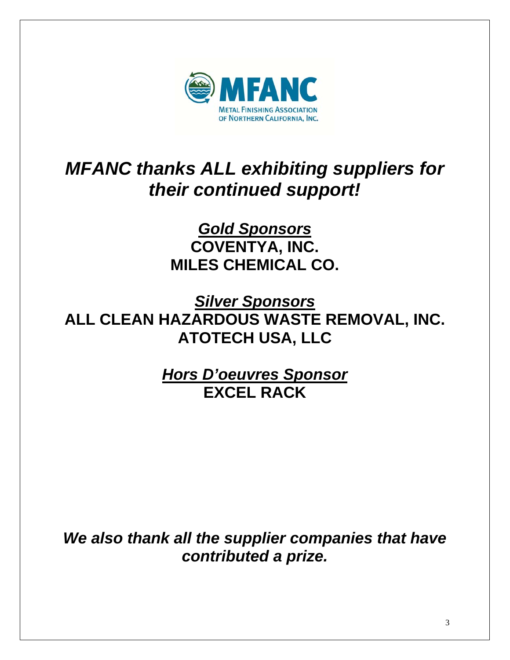

## *MFANC thanks ALL exhibiting suppliers for their continued support!*

*Gold Sponsors*  **COVENTYA, INC. MILES CHEMICAL CO.** 

*Silver Sponsors*  **ALL CLEAN HAZARDOUS WASTE REMOVAL, INC. ATOTECH USA, LLC** 

> *Hors D'oeuvres Sponsor*  **EXCEL RACK**

*We also thank all the supplier companies that have contributed a prize.*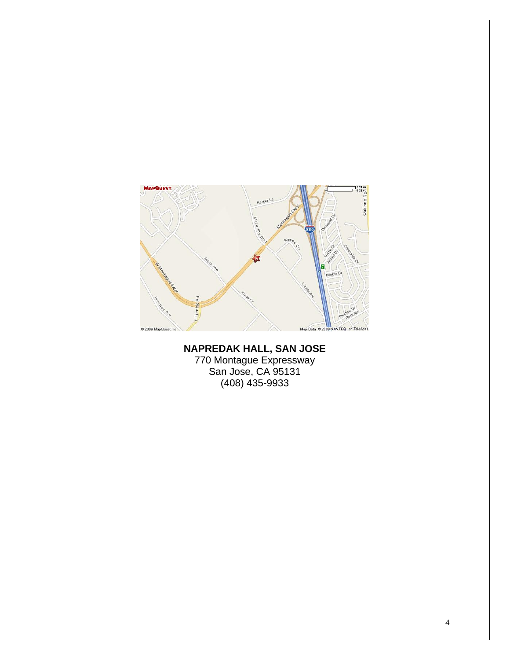

**NAPREDAK HALL, SAN JOSE**  770 Montague Expressway San Jose, CA 95131 (408) 435-9933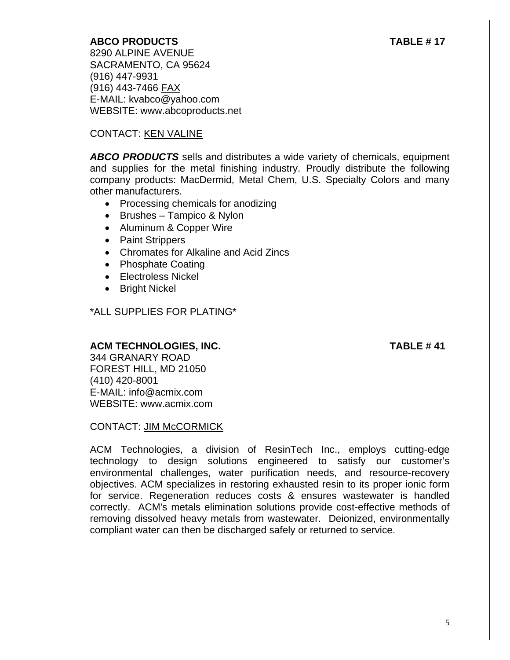### **ABCO PRODUCTS TABLE # 17**

 8290 ALPINE AVENUE SACRAMENTO, CA 95624 (916) 447-9931 (916) 443-7466 FAX E-MAIL: kvabco@yahoo.com WEBSITE: www.abcoproducts.net

### CONTACT: KEN VALINE

*ABCO PRODUCTS* sells and distributes a wide variety of chemicals, equipment and supplies for the metal finishing industry. Proudly distribute the following company products: MacDermid, Metal Chem, U.S. Specialty Colors and many other manufacturers.

- Processing chemicals for anodizing
- $\bullet$  Brushes Tampico & Nylon
- Aluminum & Copper Wire
- Paint Strippers
- Chromates for Alkaline and Acid Zincs
- Phosphate Coating
- Electroless Nickel
- Bright Nickel

\*ALL SUPPLIES FOR PLATING\*

### ACM TECHNOLOGIES, INC. TABLE # 41

344 GRANARY ROAD FOREST HILL, MD 21050 (410) 420-8001 E-MAIL: info@acmix.com WEBSITE: www.acmix.com

CONTACT: JIM McCORMICK

ACM Technologies, a division of ResinTech Inc., employs cutting-edge technology to design solutions engineered to satisfy our customer's environmental challenges, water purification needs, and resource-recovery objectives. ACM specializes in restoring exhausted resin to its proper ionic form for service. Regeneration reduces costs & ensures wastewater is handled correctly. ACM's metals elimination solutions provide cost-effective methods of removing dissolved heavy metals from wastewater. Deionized, environmentally compliant water can then be discharged safely or returned to service.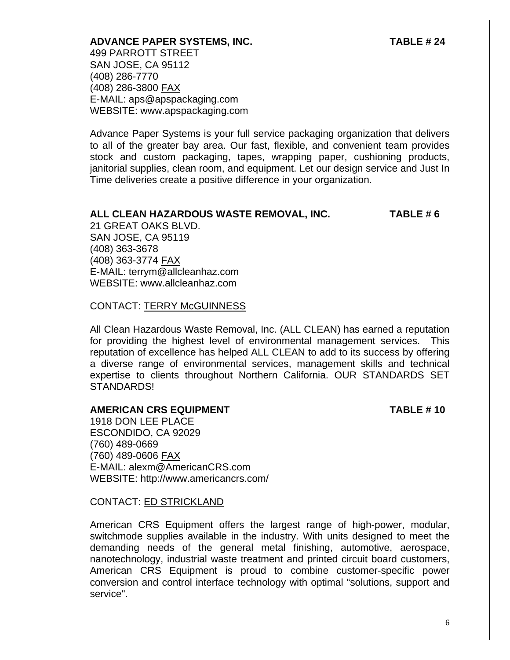#### **ADVANCE PAPER SYSTEMS, INC. TABLE # 24**

499 PARROTT STREET SAN JOSE, CA 95112 (408) 286-7770 (408) 286-3800 FAX E-MAIL: aps@apspackaging.com WEBSITE: www.apspackaging.com

Advance Paper Systems is your full service packaging organization that delivers to all of the greater bay area. Our fast, flexible, and convenient team provides stock and custom packaging, tapes, wrapping paper, cushioning products, janitorial supplies, clean room, and equipment. Let our design service and Just In Time deliveries create a positive difference in your organization.

#### **ALL CLEAN HAZARDOUS WASTE REMOVAL, INC. TABLE # 6**

21 GREAT OAKS BLVD. SAN JOSE, CA 95119 (408) 363-3678 (408) 363-3774 FAX E-MAIL: terrym@allcleanhaz.com WEBSITE: www.allcleanhaz.com

#### CONTACT: TERRY McGUINNESS

All Clean Hazardous Waste Removal, Inc. (ALL CLEAN) has earned a reputation for providing the highest level of environmental management services. This reputation of excellence has helped ALL CLEAN to add to its success by offering a diverse range of environmental services, management skills and technical expertise to clients throughout Northern California. OUR STANDARDS SET STANDARDS!

#### **AMERICAN CRS EQUIPMENT TABLE # 10**

1918 DON LEE PLACE ESCONDIDO, CA 92029 (760) 489-0669 (760) 489-0606 FAX E-MAIL: alexm@AmericanCRS.com WEBSITE: http://www.americancrs.com/

#### CONTACT: ED STRICKLAND

American CRS Equipment offers the largest range of high-power, modular, switchmode supplies available in the industry. With units designed to meet the demanding needs of the general metal finishing, automotive, aerospace, nanotechnology, industrial waste treatment and printed circuit board customers, American CRS Equipment is proud to combine customer-specific power conversion and control interface technology with optimal "solutions, support and service".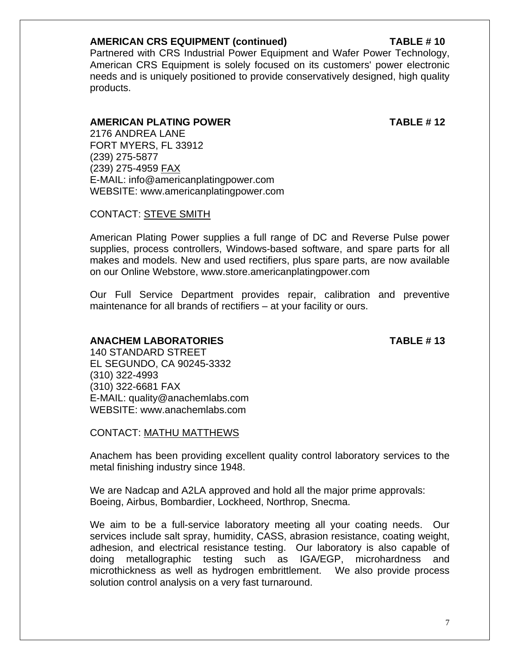#### **AMERICAN CRS EQUIPMENT (continued) TABLE # 10**

Partnered with CRS Industrial Power Equipment and Wafer Power Technology, American CRS Equipment is solely focused on its customers' power electronic needs and is uniquely positioned to provide conservatively designed, high quality products.

#### **AMERICAN PLATING POWER TABLE # 12**

2176 ANDREA LANE FORT MYERS, FL 33912 (239) 275-5877 (239) 275-4959 FAX E-MAIL: info@americanplatingpower.com WEBSITE: www.americanplatingpower.com

#### CONTACT: STEVE SMITH

American Plating Power supplies a full range of DC and Reverse Pulse power supplies, process controllers, Windows-based software, and spare parts for all makes and models. New and used rectifiers, plus spare parts, are now available on our Online Webstore, www.store.americanplatingpower.com

Our Full Service Department provides repair, calibration and preventive maintenance for all brands of rectifiers – at your facility or ours.

### **ANACHEM LABORATORIES TABLE # 13**

 140 STANDARD STREET EL SEGUNDO, CA 90245-3332 (310) 322-4993 (310) 322-6681 FAX E-MAIL: quality@anachemlabs.com WEBSITE: www.anachemlabs.com

CONTACT: MATHU MATTHEWS

Anachem has been providing excellent quality control laboratory services to the metal finishing industry since 1948.

We are Nadcap and A2LA approved and hold all the major prime approvals: Boeing, Airbus, Bombardier, Lockheed, Northrop, Snecma.

We aim to be a full-service laboratory meeting all your coating needs. Our services include salt spray, humidity, CASS, abrasion resistance, coating weight, adhesion, and electrical resistance testing. Our laboratory is also capable of doing metallographic testing such as IGA/EGP, microhardness and microthickness as well as hydrogen embrittlement. We also provide process solution control analysis on a very fast turnaround.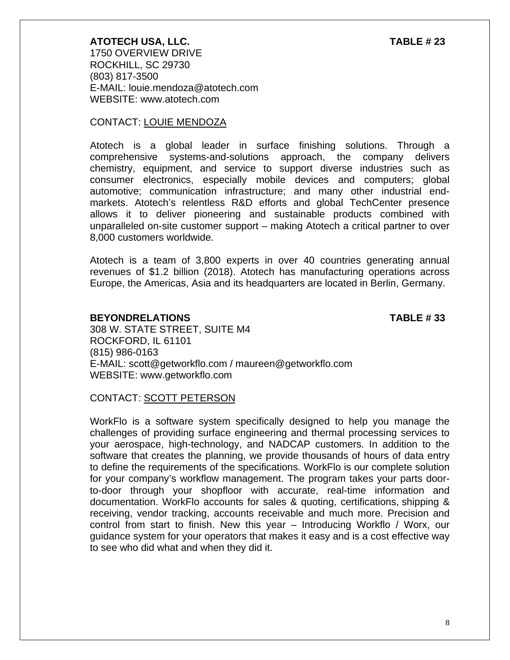**ATOTECH USA, LLC. TABLE # 23**  1750 OVERVIEW DRIVE ROCKHILL, SC 29730 (803) 817-3500 E-MAIL: louie.mendoza@atotech.com WEBSITE: www.atotech.com

#### CONTACT: LOUIE MENDOZA

Atotech is a global leader in surface finishing solutions. Through a comprehensive systems-and-solutions approach, the company delivers chemistry, equipment, and service to support diverse industries such as consumer electronics, especially mobile devices and computers; global automotive; communication infrastructure; and many other industrial endmarkets. Atotech's relentless R&D efforts and global TechCenter presence allows it to deliver pioneering and sustainable products combined with unparalleled on-site customer support – making Atotech a critical partner to over 8,000 customers worldwide.

Atotech is a team of 3,800 experts in over 40 countries generating annual revenues of \$1.2 billion (2018). Atotech has manufacturing operations across Europe, the Americas, Asia and its headquarters are located in Berlin, Germany.

#### **BEYONDRELATIONS TABLE # 33**

308 W. STATE STREET, SUITE M4 ROCKFORD, IL 61101 (815) 986-0163 E-MAIL: scott@getworkflo.com / maureen@getworkflo.com WEBSITE: www.getworkflo.com

#### CONTACT: SCOTT PETERSON

WorkFlo is a software system specifically designed to help you manage the challenges of providing surface engineering and thermal processing services to your aerospace, high-technology, and NADCAP customers. In addition to the software that creates the planning, we provide thousands of hours of data entry to define the requirements of the specifications. WorkFlo is our complete solution for your company's workflow management. The program takes your parts doorto-door through your shopfloor with accurate, real-time information and documentation. WorkFlo accounts for sales & quoting, certifications, shipping & receiving, vendor tracking, accounts receivable and much more. Precision and control from start to finish. New this year – Introducing Workflo / Worx, our guidance system for your operators that makes it easy and is a cost effective way to see who did what and when they did it.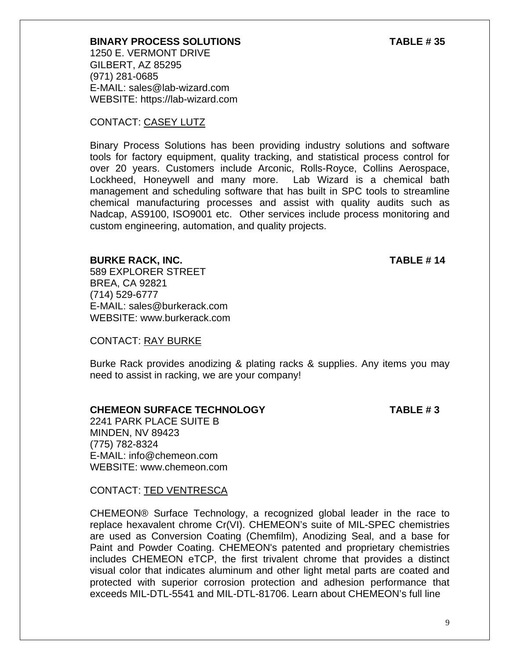#### **BINARY PROCESS SOLUTIONS TABLE # 35**

1250 E. VERMONT DRIVE GILBERT, AZ 85295 (971) 281-0685 E-MAIL: sales@lab-wizard.com WEBSITE: https://lab-wizard.com

#### CONTACT: CASEY LUTZ

Binary Process Solutions has been providing industry solutions and software tools for factory equipment, quality tracking, and statistical process control for over 20 years. Customers include Arconic, Rolls-Royce, Collins Aerospace, Lockheed, Honeywell and many more. Lab Wizard is a chemical bath management and scheduling software that has built in SPC tools to streamline chemical manufacturing processes and assist with quality audits such as Nadcap, AS9100, ISO9001 etc. Other services include process monitoring and custom engineering, automation, and quality projects.

#### **BURKE RACK, INC. TABLE # 14**

589 EXPLORER STREET BREA, CA 92821 (714) 529-6777 E-MAIL: sales@burkerack.com WEBSITE: www.burkerack.com

#### CONTACT: RAY BURKE

Burke Rack provides anodizing & plating racks & supplies. Any items you may need to assist in racking, we are your company!

#### **CHEMEON SURFACE TECHNOLOGY TABLE # 3**

2241 PARK PLACE SUITE B MINDEN, NV 89423 (775) 782-8324 E-MAIL: info@chemeon.com WEBSITE: www.chemeon.com

CONTACT: TED VENTRESCA

CHEMEON® Surface Technology, a recognized global leader in the race to replace hexavalent chrome Cr(VI). CHEMEON's suite of MIL-SPEC chemistries are used as Conversion Coating (Chemfilm), Anodizing Seal, and a base for Paint and Powder Coating. CHEMEON's patented and proprietary chemistries includes CHEMEON eTCP, the first trivalent chrome that provides a distinct visual color that indicates aluminum and other light metal parts are coated and protected with superior corrosion protection and adhesion performance that exceeds MIL-DTL-5541 and MIL-DTL-81706. Learn about CHEMEON's full line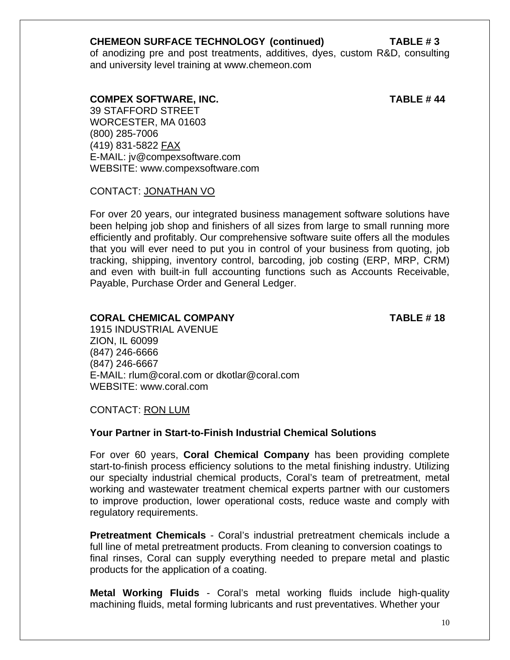#### **CHEMEON SURFACE TECHNOLOGY (continued) TABLE # 3**

of anodizing pre and post treatments, additives, dyes, custom R&D, consulting and university level training at www.chemeon.com

 **COMPEX SOFTWARE, INC. TABLE # 44** 

39 STAFFORD STREET WORCESTER, MA 01603 (800) 285-7006 (419) 831-5822 FAX E-MAIL: jv@compexsoftware.com WEBSITE: www.compexsoftware.com

CONTACT: JONATHAN VO

For over 20 years, our integrated business management software solutions have been helping job shop and finishers of all sizes from large to small running more efficiently and profitably. Our comprehensive software suite offers all the modules that you will ever need to put you in control of your business from quoting, job tracking, shipping, inventory control, barcoding, job costing (ERP, MRP, CRM) and even with built-in full accounting functions such as Accounts Receivable, Payable, Purchase Order and General Ledger.

### **CORAL CHEMICAL COMPANY TABLE # 18**

1915 INDUSTRIAL AVENUE ZION, IL 60099 (847) 246-6666 (847) 246-6667 E-MAIL: rlum@coral.com or dkotlar@coral.com WEBSITE: www.coral.com

CONTACT: RON LUM

### **Your Partner in Start-to-Finish Industrial Chemical Solutions**

For over 60 years, **Coral Chemical Company** has been providing complete start-to-finish process efficiency solutions to the metal finishing industry. Utilizing our specialty industrial chemical products, Coral's team of pretreatment, metal working and wastewater treatment chemical experts partner with our customers to improve production, lower operational costs, reduce waste and comply with regulatory requirements.

**Pretreatment Chemicals** - Coral's industrial pretreatment chemicals include a full line of metal pretreatment products. From cleaning to conversion coatings to final rinses, Coral can supply everything needed to prepare metal and plastic products for the application of a coating.

**Metal Working Fluids** - Coral's metal working fluids include high-quality machining fluids, metal forming lubricants and rust preventatives. Whether your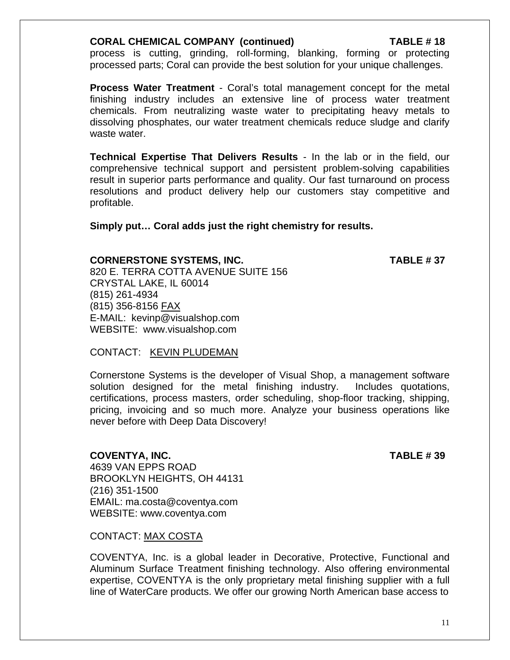#### **CORAL CHEMICAL COMPANY (continued) TABLE # 18**

process is cutting, grinding, roll-forming, blanking, forming or protecting processed parts; Coral can provide the best solution for your unique challenges.

**Process Water Treatment** - Coral's total management concept for the metal finishing industry includes an extensive line of process water treatment chemicals. From neutralizing waste water to precipitating heavy metals to dissolving phosphates, our water treatment chemicals reduce sludge and clarify waste water.

**Technical Expertise That Delivers Results** - In the lab or in the field, our comprehensive technical support and persistent problem-solving capabilities result in superior parts performance and quality. Our fast turnaround on process resolutions and product delivery help our customers stay competitive and profitable.

**Simply put… Coral adds just the right chemistry for results.**

#### **CORNERSTONE SYSTEMS, INC. TABLE # 37**

820 E. TERRA COTTA AVENUE SUITE 156 CRYSTAL LAKE, IL 60014 (815) 261-4934 (815) 356-8156 FAX E-MAIL: kevinp@visualshop.com WEBSITE: www.visualshop.com

#### CONTACT: KEVIN PLUDEMAN

Cornerstone Systems is the developer of Visual Shop, a management software solution designed for the metal finishing industry. Includes quotations, certifications, process masters, order scheduling, shop-floor tracking, shipping, pricing, invoicing and so much more. Analyze your business operations like never before with Deep Data Discovery!

#### **COVENTYA, INC. TABLE # 39**

4639 VAN EPPS ROAD BROOKLYN HEIGHTS, OH 44131 (216) 351-1500 EMAIL: ma.costa@coventya.com WEBSITE: www.coventya.com

CONTACT: MAX COSTA

COVENTYA, Inc. is a global leader in Decorative, Protective, Functional and Aluminum Surface Treatment finishing technology. Also offering environmental expertise, COVENTYA is the only proprietary metal finishing supplier with a full line of WaterCare products. We offer our growing North American base access to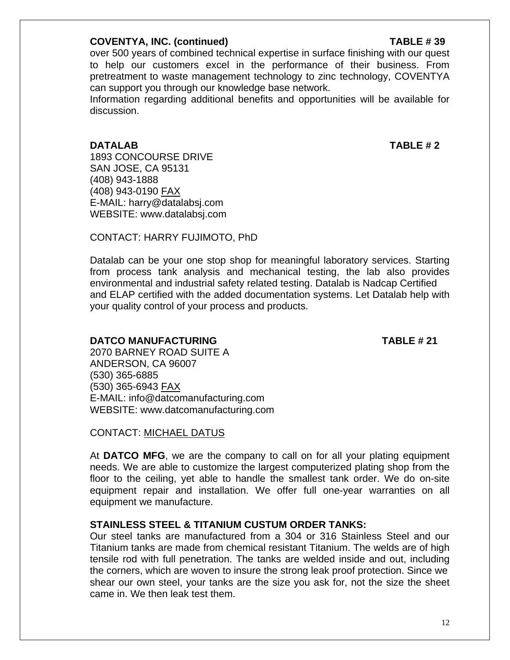#### **COVENTYA, INC. (continued) TABLE # 39**

over 500 years of combined technical expertise in surface finishing with our quest to help our customers excel in the performance of their business. From pretreatment to waste management technology to zinc technology, COVENTYA can support you through our knowledge base network.

 Information regarding additional benefits and opportunities will be available for discussion.

**DATALAB TABLE # 2** 

1893 CONCOURSE DRIVE SAN JOSE, CA 95131 (408) 943-1888 (408) 943-0190 FAX E-MAIL: harry@datalabsj.com WEBSITE: www.datalabsj.com

CONTACT: HARRY FUJIMOTO, PhD

Datalab can be your one stop shop for meaningful laboratory services. Starting from process tank analysis and mechanical testing, the lab also provides environmental and industrial safety related testing. Datalab is Nadcap Certified and ELAP certified with the added documentation systems. Let Datalab help with your quality control of your process and products.

### **DATCO MANUFACTURING TABLE # 21**

2070 BARNEY ROAD SUITE A ANDERSON, CA 96007 (530) 365-6885 (530) 365-6943 FAX E-MAIL: info@datcomanufacturing.com WEBSITE: www.datcomanufacturing.com

CONTACT: MICHAEL DATUS

At **DATCO MFG**, we are the company to call on for all your plating equipment needs. We are able to customize the largest computerized plating shop from the floor to the ceiling, yet able to handle the smallest tank order. We do on-site equipment repair and installation. We offer full one-year warranties on all equipment we manufacture.

### **STAINLESS STEEL & TITANIUM CUSTUM ORDER TANKS:**

Our steel tanks are manufactured from a 304 or 316 Stainless Steel and our Titanium tanks are made from chemical resistant Titanium. The welds are of high tensile rod with full penetration. The tanks are welded inside and out, including the corners, which are woven to insure the strong leak proof protection. Since we shear our own steel, your tanks are the size you ask for, not the size the sheet came in. We then leak test them.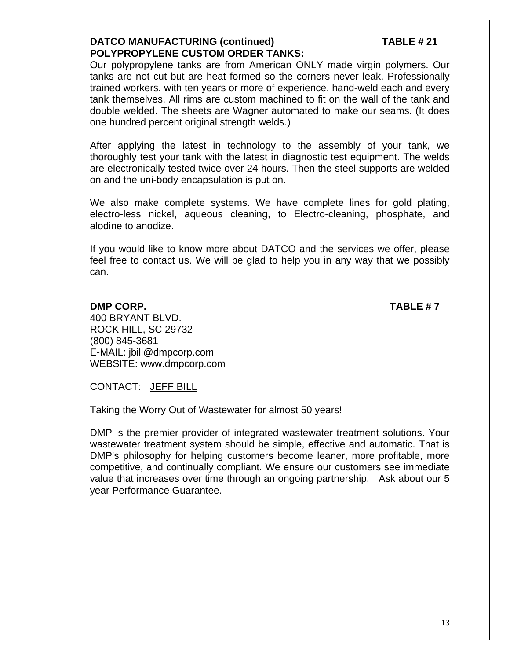#### **DATCO MANUFACTURING (continued) TABLE # 21 POLYPROPYLENE CUSTOM ORDER TANKS:**

Our polypropylene tanks are from American ONLY made virgin polymers. Our tanks are not cut but are heat formed so the corners never leak. Professionally trained workers, with ten years or more of experience, hand-weld each and every tank themselves. All rims are custom machined to fit on the wall of the tank and double welded. The sheets are Wagner automated to make our seams. (It does one hundred percent original strength welds.)

After applying the latest in technology to the assembly of your tank, we thoroughly test your tank with the latest in diagnostic test equipment. The welds are electronically tested twice over 24 hours. Then the steel supports are welded on and the uni-body encapsulation is put on.

We also make complete systems. We have complete lines for gold plating, electro-less nickel, aqueous cleaning, to Electro-cleaning, phosphate, and alodine to anodize.

If you would like to know more about DATCO and the services we offer, please feel free to contact us. We will be glad to help you in any way that we possibly can.

#### **DMP CORP.** TABLE # 7

400 BRYANT BLVD. ROCK HILL, SC 29732 (800) 845-3681 E-MAIL: jbill@dmpcorp.com WEBSITE: www.dmpcorp.com

CONTACT: JEFF BILL

Taking the Worry Out of Wastewater for almost 50 years!

DMP is the premier provider of integrated wastewater treatment solutions. Your wastewater treatment system should be simple, effective and automatic. That is DMP's philosophy for helping customers become leaner, more profitable, more competitive, and continually compliant. We ensure our customers see immediate value that increases over time through an ongoing partnership. Ask about our 5 year Performance Guarantee.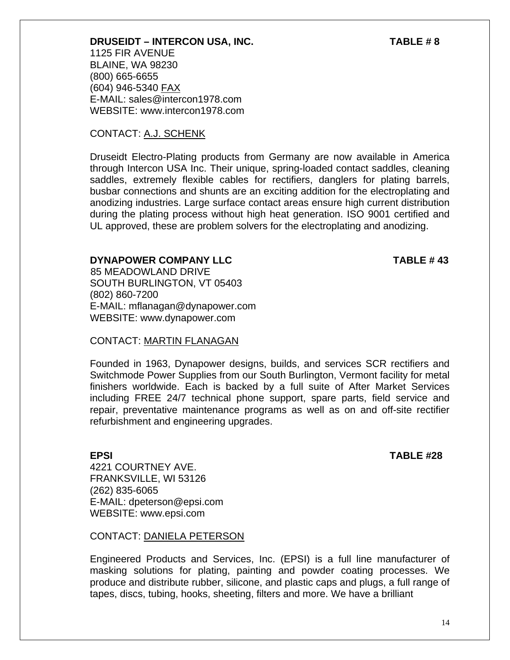**DRUSEIDT – INTERCON USA, INC. TABLE # 8**  1125 FIR AVENUE BLAINE, WA 98230 (800) 665-6655 (604) 946-5340 FAX E-MAIL: sales@intercon1978.com WEBSITE: www.intercon1978.com

### CONTACT: A.J. SCHENK

Druseidt Electro-Plating products from Germany are now available in America through Intercon USA Inc. Their unique, spring-loaded contact saddles, cleaning saddles, extremely flexible cables for rectifiers, danglers for plating barrels, busbar connections and shunts are an exciting addition for the electroplating and anodizing industries. Large surface contact areas ensure high current distribution during the plating process without high heat generation. ISO 9001 certified and UL approved, these are problem solvers for the electroplating and anodizing.

### **DYNAPOWER COMPANY LLC** TABLE # 43

 85 MEADOWLAND DRIVE SOUTH BURLINGTON, VT 05403 (802) 860-7200 E-MAIL: mflanagan@dynapower.com WEBSITE: www.dynapower.com

### CONTACT: MARTIN FLANAGAN

Founded in 1963, Dynapower designs, builds, and services SCR rectifiers and Switchmode Power Supplies from our South Burlington, Vermont facility for metal finishers worldwide. Each is backed by a full suite of After Market Services including FREE 24/7 technical phone support, spare parts, field service and repair, preventative maintenance programs as well as on and off-site rectifier refurbishment and engineering upgrades.

**EPSI** TABLE #28

4221 COURTNEY AVE. FRANKSVILLE, WI 53126 (262) 835-6065 E-MAIL: dpeterson@epsi.com WEBSITE: www.epsi.com

CONTACT: DANIELA PETERSON

Engineered Products and Services, Inc. (EPSI) is a full line manufacturer of masking solutions for plating, painting and powder coating processes. We produce and distribute rubber, silicone, and plastic caps and plugs, a full range of tapes, discs, tubing, hooks, sheeting, filters and more. We have a brilliant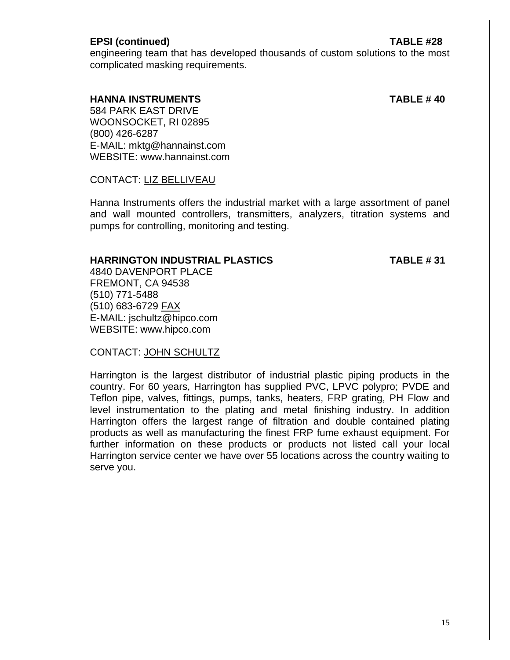#### **EPSI (continued) TABLE #28**

engineering team that has developed thousands of custom solutions to the most complicated masking requirements.

 **HANNA INSTRUMENTS TABLE # 40** 

584 PARK EAST DRIVE WOONSOCKET, RI 02895 (800) 426-6287 E-MAIL: mktg@hannainst.com WEBSITE: www.hannainst.com

CONTACT: LIZ BELLIVEAU

Hanna Instruments offers the industrial market with a large assortment of panel and wall mounted controllers, transmitters, analyzers, titration systems and pumps for controlling, monitoring and testing.

### **HARRINGTON INDUSTRIAL PLASTICS TABLE # 31**

4840 DAVENPORT PLACE FREMONT, CA 94538 (510) 771-5488 (510) 683-6729 FAX E-MAIL: jschultz@hipco.com WEBSITE: www.hipco.com

CONTACT: JOHN SCHULTZ

Harrington is the largest distributor of industrial plastic piping products in the country. For 60 years, Harrington has supplied PVC, LPVC polypro; PVDE and Teflon pipe, valves, fittings, pumps, tanks, heaters, FRP grating, PH Flow and level instrumentation to the plating and metal finishing industry. In addition Harrington offers the largest range of filtration and double contained plating products as well as manufacturing the finest FRP fume exhaust equipment. For further information on these products or products not listed call your local Harrington service center we have over 55 locations across the country waiting to serve you.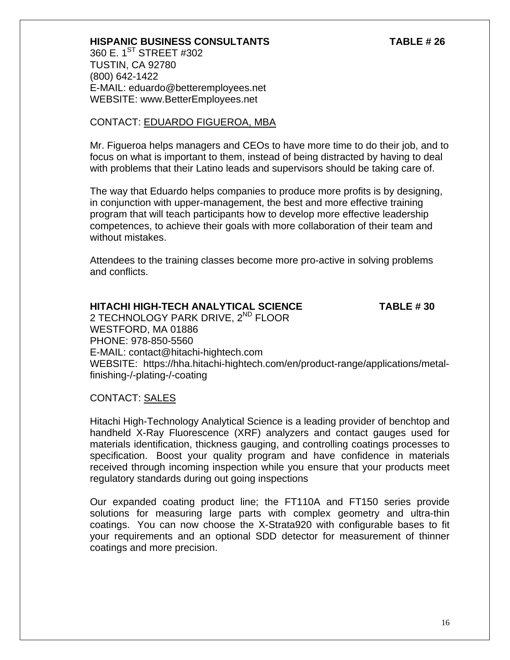#### **HISPANIC BUSINESS CONSULTANTS TABLE # 26**

360 E. 1<sup>ST</sup> STREET #302 TUSTIN, CA 92780 (800) 642-1422 E-MAIL: eduardo@betteremployees.net WEBSITE: www.BetterEmployees.net

#### CONTACT: EDUARDO FIGUEROA, MBA

Mr. Figueroa helps managers and CEOs to have more time to do their job, and to focus on what is important to them, instead of being distracted by having to deal with problems that their Latino leads and supervisors should be taking care of.

The way that Eduardo helps companies to produce more profits is by designing, in conjunction with upper-management, the best and more effective training program that will teach participants how to develop more effective leadership competences, to achieve their goals with more collaboration of their team and without mistakes.

Attendees to the training classes become more pro-active in solving problems and conflicts.

#### **HITACHI HIGH-TECH ANALYTICAL SCIENCE TABLE # 30**

2 TECHNOLOGY PARK DRIVE, 2<sup>ND</sup> FLOOR WESTFORD, MA 01886 PHONE: 978-850-5560 E-MAIL: contact@hitachi-hightech.com WEBSITE: https://hha.hitachi-hightech.com/en/product-range/applications/metalfinishing-/-plating-/-coating

#### CONTACT: SALES

Hitachi High-Technology Analytical Science is a leading provider of benchtop and handheld X-Ray Fluorescence (XRF) analyzers and contact gauges used for materials identification, thickness gauging, and controlling coatings processes to specification. Boost your quality program and have confidence in materials received through incoming inspection while you ensure that your products meet regulatory standards during out going inspections

Our expanded coating product line; the FT110A and FT150 series provide solutions for measuring large parts with complex geometry and ultra-thin coatings. You can now choose the X-Strata920 with configurable bases to fit your requirements and an optional SDD detector for measurement of thinner coatings and more precision.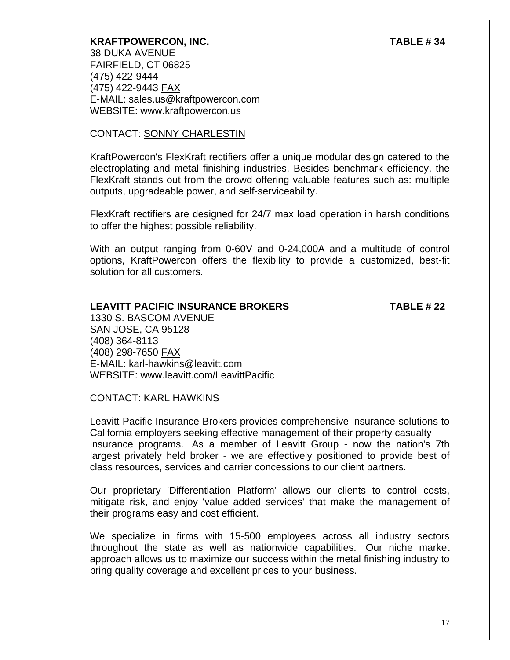#### **KRAFTPOWERCON, INC. TABLE # 34**

38 DUKA AVENUE FAIRFIELD, CT 06825 (475) 422-9444 (475) 422-9443 FAX E-MAIL: sales.us@kraftpowercon.com WEBSITE: www.kraftpowercon.us

#### CONTACT: SONNY CHARLESTIN

KraftPowercon's FlexKraft rectifiers offer a unique modular design catered to the electroplating and metal finishing industries. Besides benchmark efficiency, the FlexKraft stands out from the crowd offering valuable features such as: multiple outputs, upgradeable power, and self-serviceability.

FlexKraft rectifiers are designed for 24/7 max load operation in harsh conditions to offer the highest possible reliability.

With an output ranging from 0-60V and 0-24,000A and a multitude of control options, KraftPowercon offers the flexibility to provide a customized, best-fit solution for all customers.

#### **LEAVITT PACIFIC INSURANCE BROKERS TABLE # 22**

1330 S. BASCOM AVENUE SAN JOSE, CA 95128 (408) 364-8113 (408) 298-7650 FAX E-MAIL: karl-hawkins@leavitt.com WEBSITE: www.leavitt.com/LeavittPacific

### CONTACT: KARL HAWKINS

Leavitt-Pacific Insurance Brokers provides comprehensive insurance solutions to California employers seeking effective management of their property casualty insurance programs. As a member of Leavitt Group - now the nation's 7th largest privately held broker - we are effectively positioned to provide best of class resources, services and carrier concessions to our client partners.

Our proprietary 'Differentiation Platform' allows our clients to control costs, mitigate risk, and enjoy 'value added services' that make the management of their programs easy and cost efficient.

We specialize in firms with 15-500 employees across all industry sectors throughout the state as well as nationwide capabilities. Our niche market approach allows us to maximize our success within the metal finishing industry to bring quality coverage and excellent prices to your business.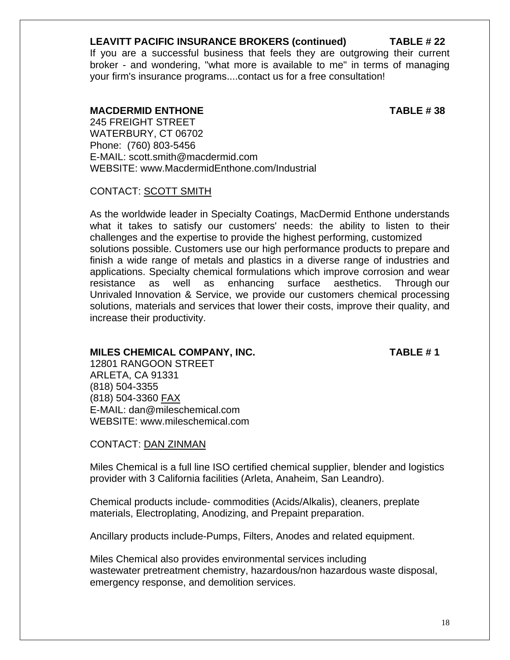#### **LEAVITT PACIFIC INSURANCE BROKERS (continued) TABLE # 22**

If you are a successful business that feels they are outgrowing their current broker - and wondering, "what more is available to me" in terms of managing your firm's insurance programs....contact us for a free consultation!

#### **MACDERMID ENTHONE TABLE # 38**

245 FREIGHT STREET WATERBURY, CT 06702 Phone: (760) 803-5456 E-MAIL: scott.smith@macdermid.com WEBSITE: www.MacdermidEnthone.com/Industrial

#### CONTACT: SCOTT SMITH

As the worldwide leader in Specialty Coatings, MacDermid Enthone understands what it takes to satisfy our customers' needs: the ability to listen to their challenges and the expertise to provide the highest performing, customized solutions possible. Customers use our high performance products to prepare and finish a wide range of metals and plastics in a diverse range of industries and applications. Specialty chemical formulations which improve corrosion and wear resistance as well as enhancing surface aesthetics. Through our Unrivaled Innovation & Service, we provide our customers chemical processing solutions, materials and services that lower their costs, improve their quality, and increase their productivity.

#### MILES CHEMICAL COMPANY, INC. TABLE # 1

12801 RANGOON STREET ARLETA, CA 91331 (818) 504-3355 (818) 504-3360 FAX E-MAIL: dan@mileschemical.com WEBSITE: www.mileschemical.com

### CONTACT: DAN ZINMAN

Miles Chemical is a full line ISO certified chemical supplier, blender and logistics provider with 3 California facilities (Arleta, Anaheim, San Leandro).

Chemical products include- commodities (Acids/Alkalis), cleaners, preplate materials, Electroplating, Anodizing, and Prepaint preparation.

Ancillary products include-Pumps, Filters, Anodes and related equipment.

Miles Chemical also provides environmental services including wastewater pretreatment chemistry, hazardous/non hazardous waste disposal, emergency response, and demolition services.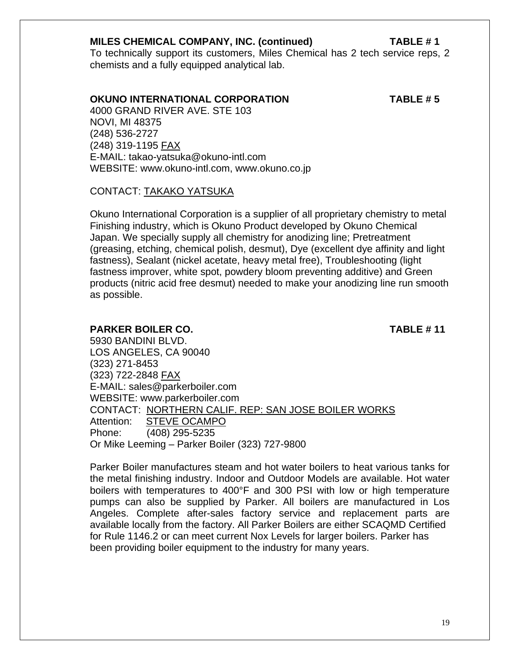#### **MILES CHEMICAL COMPANY, INC. (continued) TABLE # 1**

To technically support its customers, Miles Chemical has 2 tech service reps, 2 chemists and a fully equipped analytical lab.

#### **OKUNO INTERNATIONAL CORPORATION TABLE # 5**

4000 GRAND RIVER AVE. STE 103 NOVI, MI 48375 (248) 536-2727 (248) 319-1195 FAX E-MAIL: takao-yatsuka@okuno-intl.com WEBSITE: www.okuno-intl.com, www.okuno.co.jp

#### CONTACT: TAKAKO YATSUKA

 Okuno International Corporation is a supplier of all proprietary chemistry to metal Finishing industry, which is Okuno Product developed by Okuno Chemical Japan. We specially supply all chemistry for anodizing line; Pretreatment (greasing, etching, chemical polish, desmut), Dye (excellent dye affinity and light fastness), Sealant (nickel acetate, heavy metal free), Troubleshooting (light fastness improver, white spot, powdery bloom preventing additive) and Green products (nitric acid free desmut) needed to make your anodizing line run smooth as possible.

#### **PARKER BOILER CO. TABLE # 11**

5930 BANDINI BLVD. LOS ANGELES, CA 90040 (323) 271-8453 (323) 722-2848 FAX E-MAIL: sales@parkerboiler.com WEBSITE: www.parkerboiler.com CONTACT: NORTHERN CALIF. REP: SAN JOSE BOILER WORKS Attention: STEVE OCAMPO Phone: (408) 295-5235 Or Mike Leeming – Parker Boiler (323) 727-9800

Parker Boiler manufactures steam and hot water boilers to heat various tanks for the metal finishing industry. Indoor and Outdoor Models are available. Hot water boilers with temperatures to 400°F and 300 PSI with low or high temperature pumps can also be supplied by Parker. All boilers are manufactured in Los Angeles. Complete after-sales factory service and replacement parts are available locally from the factory. All Parker Boilers are either SCAQMD Certified for Rule 1146.2 or can meet current Nox Levels for larger boilers. Parker has been providing boiler equipment to the industry for many years.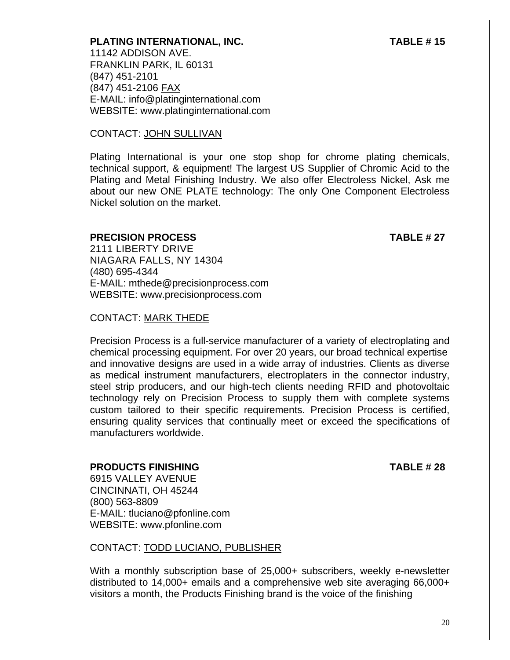## 20

### **PLATING INTERNATIONAL, INC. TABLE # 15**

11142 ADDISON AVE. FRANKLIN PARK, IL 60131 (847) 451-2101 (847) 451-2106 FAX E-MAIL: info@platinginternational.com WEBSITE: www.platinginternational.com

### CONTACT: JOHN SULLIVAN

Plating International is your one stop shop for chrome plating chemicals, technical support, & equipment! The largest US Supplier of Chromic Acid to the Plating and Metal Finishing Industry. We also offer Electroless Nickel, Ask me about our new ONE PLATE technology: The only One Component Electroless Nickel solution on the market.

### **PRECISION PROCESS** TABLE # 27

2111 LIBERTY DRIVE NIAGARA FALLS, NY 14304 (480) 695-4344 E-MAIL: mthede@precisionprocess.com WEBSITE: www.precisionprocess.com

### CONTACT: MARK THEDE

Precision Process is a full-service manufacturer of a variety of electroplating and chemical processing equipment. For over 20 years, our broad technical expertise and innovative designs are used in a wide array of industries. Clients as diverse as medical instrument manufacturers, electroplaters in the connector industry, steel strip producers, and our high-tech clients needing RFID and photovoltaic technology rely on Precision Process to supply them with complete systems custom tailored to their specific requirements. Precision Process is certified, ensuring quality services that continually meet or exceed the specifications of manufacturers worldwide.

#### **PRODUCTS FINISHING TABLE # 28**  6915 VALLEY AVENUE

CINCINNATI, OH 45244

(800) 563-8809 E-MAIL: tluciano@pfonline.com WEBSITE: www.pfonline.com

### CONTACT: TODD LUCIANO, PUBLISHER

With a monthly subscription base of 25,000+ subscribers, weekly e-newsletter distributed to 14,000+ emails and a comprehensive web site averaging 66,000+ visitors a month, the Products Finishing brand is the voice of the finishing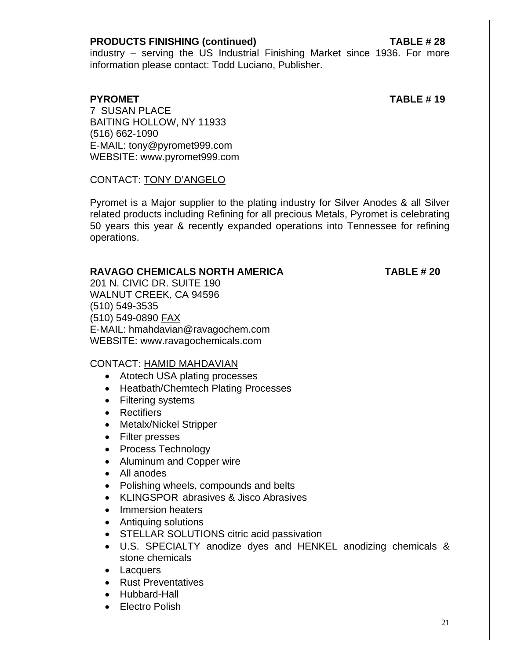#### **PRODUCTS FINISHING (continued) TABLE # 28**

industry – serving the US Industrial Finishing Market since 1936. For more information please contact: Todd Luciano, Publisher.

**PYROMET** TABLE # 19

7 SUSAN PLACE BAITING HOLLOW, NY 11933 (516) 662-1090 E-MAIL: tony@pyromet999.com WEBSITE: www.pyromet999.com

### CONTACT: TONY D'ANGELO

Pyromet is a Major supplier to the plating industry for Silver Anodes & all Silver related products including Refining for all precious Metals, Pyromet is celebrating 50 years this year & recently expanded operations into Tennessee for refining operations.

### **RAVAGO CHEMICALS NORTH AMERICA TABLE # 20**

201 N. CIVIC DR. SUITE 190 WALNUT CREEK, CA 94596 (510) 549-3535 (510) 549-0890 FAX E-MAIL: hmahdavian@ravagochem.com WEBSITE: www.ravagochemicals.com

### CONTACT: HAMID MAHDAVIAN

- Atotech USA plating processes
- Heatbath/Chemtech Plating Processes
- Filtering systems
- Rectifiers
- Metalx/Nickel Stripper
- Filter presses
- Process Technology
- Aluminum and Copper wire
- All anodes
- Polishing wheels, compounds and belts
- KLINGSPOR abrasives & Jisco Abrasives
- Immersion heaters
- Antiquing solutions
- STELLAR SOLUTIONS citric acid passivation
- U.S. SPECIALTY anodize dyes and HENKEL anodizing chemicals & stone chemicals
- Lacquers
- Rust Preventatives
- Hubbard-Hall
- Electro Polish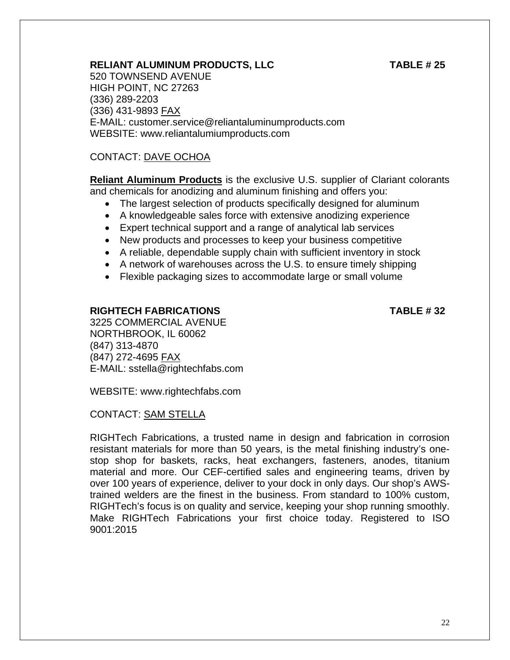### **RELIANT ALUMINUM PRODUCTS, LLC TABLE # 25**

520 TOWNSEND AVENUE HIGH POINT, NC 27263 (336) 289-2203 (336) 431-9893 FAX E-MAIL: customer.service@reliantaluminumproducts.com WEBSITE: www.reliantalumiumproducts.com

### CONTACT: DAVE OCHOA

**Reliant Aluminum Products** is the exclusive U.S. supplier of Clariant colorants and chemicals for anodizing and aluminum finishing and offers you:

- The largest selection of products specifically designed for aluminum
- A knowledgeable sales force with extensive anodizing experience
- Expert technical support and a range of analytical lab services
- New products and processes to keep your business competitive
- A reliable, dependable supply chain with sufficient inventory in stock
- A network of warehouses across the U.S. to ensure timely shipping
- Flexible packaging sizes to accommodate large or small volume

#### **RIGHTECH FABRICATIONS TABLE # 32**

3225 COMMERCIAL AVENUE NORTHBROOK, IL 60062 (847) 313-4870 (847) 272-4695 FAX E-MAIL: sstella@rightechfabs.com

WEBSITE: www.rightechfabs.com

### CONTACT: SAM STELLA

RIGHTech Fabrications, a trusted name in design and fabrication in corrosion resistant materials for more than 50 years, is the metal finishing industry's onestop shop for baskets, racks, heat exchangers, fasteners, anodes, titanium material and more. Our CEF-certified sales and engineering teams, driven by over 100 years of experience, deliver to your dock in only days. Our shop's AWStrained welders are the finest in the business. From standard to 100% custom, RIGHTech's focus is on quality and service, keeping your shop running smoothly. Make RIGHTech Fabrications your first choice today. Registered to ISO 9001:2015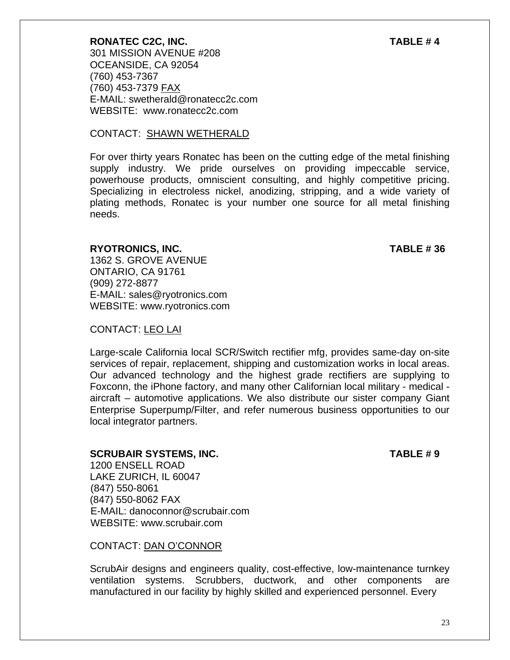OCEANSIDE, CA 92054 (760) 453-7367 (760) 453-7379 FAX E-MAIL: swetherald@ronatecc2c.com WEBSITE: www.ronatecc2c.com

#### CONTACT: SHAWN WETHERALD

For over thirty years Ronatec has been on the cutting edge of the metal finishing supply industry. We pride ourselves on providing impeccable service, powerhouse products, omniscient consulting, and highly competitive pricing. Specializing in electroless nickel, anodizing, stripping, and a wide variety of plating methods, Ronatec is your number one source for all metal finishing needs.

#### **RYOTRONICS, INC. TABLE # 36**

1362 S. GROVE AVENUE ONTARIO, CA 91761 (909) 272-8877 E-MAIL: sales@ryotronics.com WEBSITE: www.ryotronics.com

### CONTACT: LEO LAI

Large-scale California local SCR/Switch rectifier mfg, provides same-day on-site services of repair, replacement, shipping and customization works in local areas. Our advanced technology and the highest grade rectifiers are supplying to Foxconn, the iPhone factory, and many other Californian local military - medical aircraft – automotive applications. We also distribute our sister company Giant Enterprise Superpump/Filter, and refer numerous business opportunities to our local integrator partners.

#### **SCRUBAIR SYSTEMS, INC.** TABLE # 9

1200 ENSELL ROAD LAKE ZURICH, IL 60047 (847) 550-8061 (847) 550-8062 FAX E-MAIL: danoconnor@scrubair.com WEBSITE: www.scrubair.com

CONTACT: DAN O'CONNOR

ScrubAir designs and engineers quality, cost-effective, low-maintenance turnkey ventilation systems. Scrubbers, ductwork, and other components are manufactured in our facility by highly skilled and experienced personnel. Every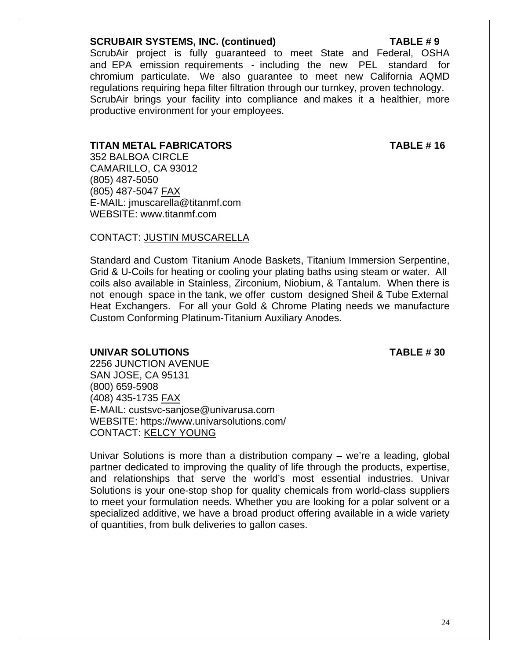#### **SCRUBAIR SYSTEMS, INC. (continued) TABLE # 9**

ScrubAir project is fully guaranteed to meet State and Federal, OSHA and EPA emission requirements - including the new PEL standard for chromium particulate. We also guarantee to meet new California AQMD regulations requiring hepa filter filtration through our turnkey, proven technology. ScrubAir brings your facility into compliance and makes it a healthier, more productive environment for your employees.

#### **TITAN METAL FABRICATORS TABLE # 16**

 352 BALBOA CIRCLE CAMARILLO, CA 93012 (805) 487-5050 (805) 487-5047 FAX E-MAIL: jmuscarella@titanmf.com WEBSITE: www.titanmf.com

#### CONTACT: JUSTIN MUSCARELLA

Standard and Custom Titanium Anode Baskets, Titanium Immersion Serpentine, Grid & U-Coils for heating or cooling your plating baths using steam or water. All coils also available in Stainless, Zirconium, Niobium, & Tantalum. When there is not enough space in the tank, we offer custom designed Sheil & Tube External Heat Exchangers. For all your Gold & Chrome Plating needs we manufacture Custom Conforming Platinum-Titanium Auxiliary Anodes.

#### **UNIVAR SOLUTIONS TABLE # 30**

2256 JUNCTION AVENUE SAN JOSE, CA 95131 (800) 659-5908 (408) 435-1735 FAX E-MAIL: custsvc-sanjose@univarusa.com WEBSITE: https://www.univarsolutions.com/ CONTACT: KELCY YOUNG

Univar Solutions is more than a distribution company – we're a leading, global partner dedicated to improving the quality of life through the products, expertise, and relationships that serve the world's most essential industries. Univar Solutions is your one-stop shop for quality chemicals from world-class suppliers to meet your formulation needs. Whether you are looking for a polar solvent or a specialized additive, we have a broad product offering available in a wide variety of quantities, from bulk deliveries to gallon cases.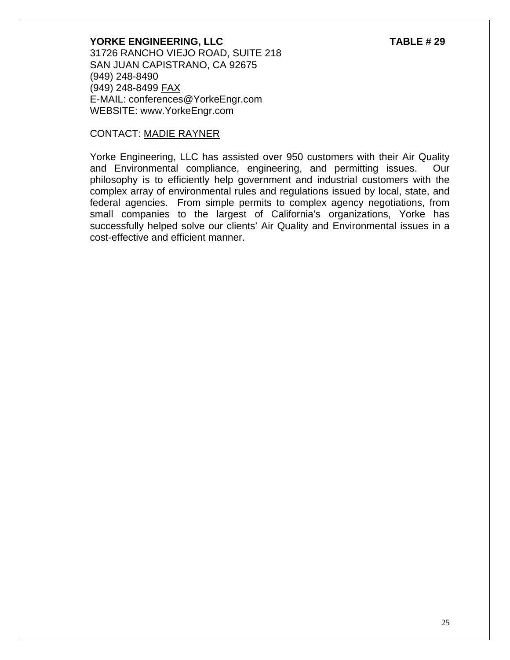**YORKE ENGINEERING, LLC** TABLE # 29 31726 RANCHO VIEJO ROAD, SUITE 218 SAN JUAN CAPISTRANO, CA 92675 (949) 248-8490 (949) 248-8499 FAX E-MAIL: conferences@YorkeEngr.com WEBSITE: www.YorkeEngr.com

#### CONTACT: MADIE RAYNER

Yorke Engineering, LLC has assisted over 950 customers with their Air Quality and Environmental compliance, engineering, and permitting issues. Our philosophy is to efficiently help government and industrial customers with the complex array of environmental rules and regulations issued by local, state, and federal agencies. From simple permits to complex agency negotiations, from small companies to the largest of California's organizations, Yorke has successfully helped solve our clients' Air Quality and Environmental issues in a cost-effective and efficient manner.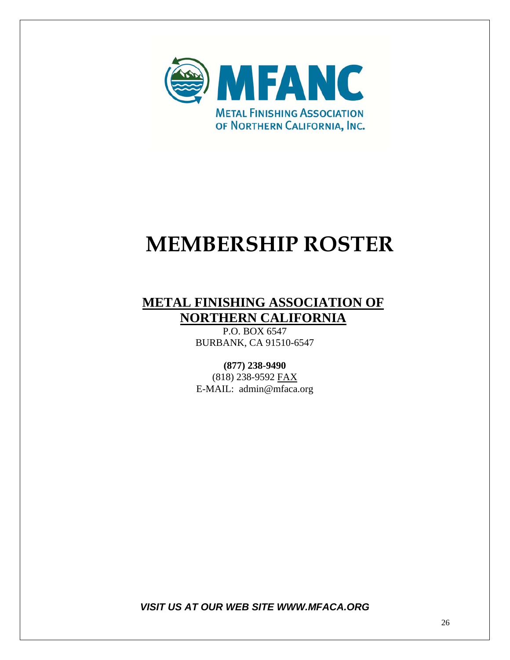

## **MEMBERSHIP ROSTER**

### **METAL FINISHING ASSOCIATION OF NORTHERN CALIFORNIA**

P.O. BOX 6547 BURBANK, CA 91510-6547

### **(877) 238-9490**

(818) 238-9592 FAX E-MAIL: admin@mfaca.org

*VISIT US AT OUR WEB SITE WWW.MFACA.ORG*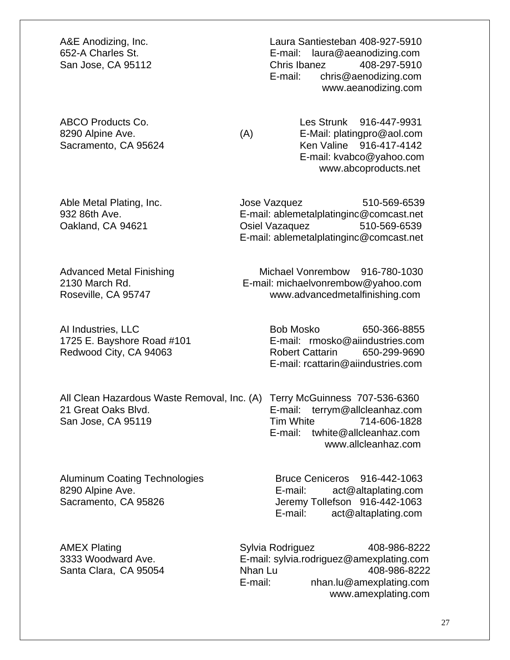All Clean Hazardous Waste Removal, Inc. (A) Terry McGuinness 707-536-6360 21 Great Oaks Blvd. E-mail: terrym@allcleanhaz.com San Jose, CA 95119 Tim White 714-606-1828

A&E Anodizing, Inc. Laura Santiesteban 408-927-5910 652-A Charles St. E-mail: laura@aeanodizing.com San Jose, CA 95112 Chris Ibanez 408-297-5910 E-mail: chris@aenodizing.com www.aeanodizing.com

ABCO Products Co. Les Strunk 916-447-9931 8290 Alpine Ave. (A) E-Mail: platingpro@aol.com Sacramento, CA 95624 Ken Valine 916-417-4142 E-mail: kvabco@yahoo.com www.abcoproducts.net

Able Metal Plating, Inc. The Suite of Manager Studies 310-569-6539 932 86th Ave. E-mail: ablemetalplatinginc@comcast.net Oakland, CA 94621 Osiel Vazaquez 510-569-6539 E-mail: ablemetalplatinginc@comcast.net

Advanced Metal Finishing Michael Vonrembow 916-780-1030 2130 March Rd. E-mail: michaelvonrembow@yahoo.com Roseville, CA 95747 www.advancedmetalfinishing.com

AI Industries, LLC Bob Mosko 650-366-8855 1725 E. Bayshore Road #101 E-mail: rmosko@aiindustries.com Redwood City, CA 94063 Robert Cattarin 650-299-9690 E-mail: rcattarin@aiindustries.com

> E-mail: twhite@allcleanhaz.com www.allcleanhaz.com

Aluminum Coating Technologies Bruce Ceniceros 916-442-1063 8290 Alpine Ave. **E-mail:** act@altaplating.com Sacramento, CA 95826 Jeremy Tollefson 916-442-1063 E-mail: act@altaplating.com

AMEX Plating **AMEX Plating COVID-100** Sylvia Rodriguez 408-986-8222 3333 Woodward Ave. E-mail: sylvia.rodriguez@amexplating.com Santa Clara, CA 95054 **Nhan Lu** 408-986-8222 E-mail: nhan.lu@amexplating.com www.amexplating.com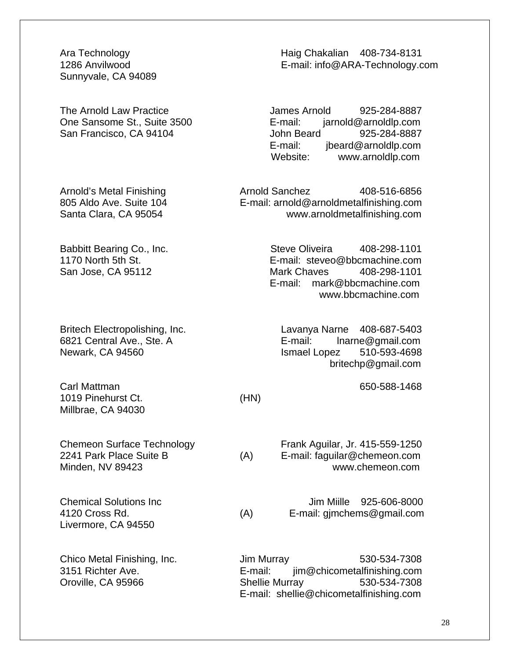Sunnyvale, CA 94089

Carl Mattman 650-588-1468 1019 Pinehurst Ct. (HN) Millbrae, CA 94030

Livermore, CA 94550

Ara Technology **Haig Chakalian 408-734-8131** 1286 Anvilwood E-mail: info@ARA-Technology.com

The Arnold Law Practice The Arnold 925-284-8887 One Sansome St., Suite 3500 E-mail: jarnold@arnoldlp.com San Francisco, CA 94104 John Beard 925-284-8887 E-mail: jbeard@arnoldlp.com<br>Website: www.arnoldlp.com www.arnoldlp.com

Arnold's Metal Finishing<br>
805 Aldo Ave. Suite 104 **Arnold Sanchez** Arnold Barnold Metalfinishing.com E-mail: arnold@arnoldmetalfinishing.com Santa Clara, CA 95054 www.arnoldmetalfinishing.com

Babbitt Bearing Co., Inc. Steve Oliveira 408-298-1101 1170 North 5th St. E-mail: steveo@bbcmachine.com San Jose, CA 95112 **Mark Chaves** 408-298-1101 E-mail: mark@bbcmachine.com www.bbcmachine.com

Britech Electropolishing, Inc. Charles Cavanya Narne 408-687-5403 6821 Central Ave., Ste. A **E-mail:** lnarne@gmail.com Newark, CA 94560 **ISMAEL LOPENSISS** Ismael Lopez 510-593-4698 britechp@gmail.com

Chemeon Surface Technology Frank Aguilar, Jr. 415-559-1250 2241 Park Place Suite B (A) E-mail: faguilar@chemeon.com Minden, NV 89423 www.chemeon.com

Chemical Solutions Inc Jim Miille 925-606-8000 4120 Cross Rd. (A) E-mail: gjmchems@gmail.com

Chico Metal Finishing, Inc. **Jim Murray 530-534-7308** 3151 Richter Ave. E-mail: jim@chicometalfinishing.com Oroville, CA 95966 Shellie Murray 530-534-7308 E-mail: shellie@chicometalfinishing.com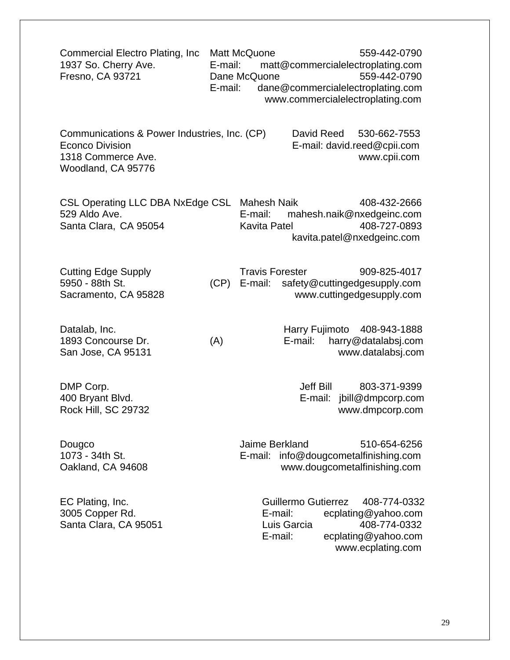| Commercial Electro Plating, Inc.<br>1937 So. Cherry Ave.<br>Fresno, CA 93721                                       | E-mail:<br>E-mail: | Matt McQuone<br>559-442-0790<br>matt@commercialelectroplating.com<br>Dane McQuone<br>559-442-0790<br>dane@commercialelectroplating.com<br>www.commercialelectroplating.com |
|--------------------------------------------------------------------------------------------------------------------|--------------------|----------------------------------------------------------------------------------------------------------------------------------------------------------------------------|
| Communications & Power Industries, Inc. (CP)<br><b>Econco Division</b><br>1318 Commerce Ave.<br>Woodland, CA 95776 |                    | David Reed<br>530-662-7553<br>E-mail: david.reed@cpii.com<br>www.cpii.com                                                                                                  |
| CSL Operating LLC DBA NxEdge CSL<br>529 Aldo Ave.<br>Santa Clara, CA 95054                                         |                    | <b>Mahesh Naik</b><br>408-432-2666<br>E-mail:<br>mahesh.naik@nxedgeinc.com<br>408-727-0893<br>Kavita Patel<br>kavita.patel@nxedgeinc.com                                   |
| <b>Cutting Edge Supply</b><br>5950 - 88th St.<br>Sacramento, CA 95828                                              | (CP)               | <b>Travis Forester</b><br>909-825-4017<br>E-mail: safety@cuttingedgesupply.com<br>www.cuttingedgesupply.com                                                                |
| Datalab, Inc.<br>1893 Concourse Dr.<br>San Jose, CA 95131                                                          | (A)                | Harry Fujimoto 408-943-1888<br>E-mail:<br>harry@datalabsj.com<br>www.datalabsj.com                                                                                         |
| DMP Corp.<br>400 Bryant Blvd.<br>Rock Hill, SC 29732                                                               |                    | Jeff Bill<br>803-371-9399<br>jbill@dmpcorp.com<br>E-mail:<br>www.dmpcorp.com                                                                                               |
| Dougco<br>1073 - 34th St.<br>Oakland, CA 94608                                                                     |                    | Jaime Berkland<br>510-654-6256<br>E-mail: info@dougcometalfinishing.com<br>www.dougcometalfinishing.com                                                                    |
| EC Plating, Inc.<br>3005 Copper Rd.<br>Santa Clara, CA 95051                                                       |                    | <b>Guillermo Gutierrez</b><br>408-774-0332<br>E-mail:<br>ecplating@yahoo.com<br>Luis Garcia<br>408-774-0332<br>ecplating@yahoo.com<br>E-mail:<br>www.ecplating.com         |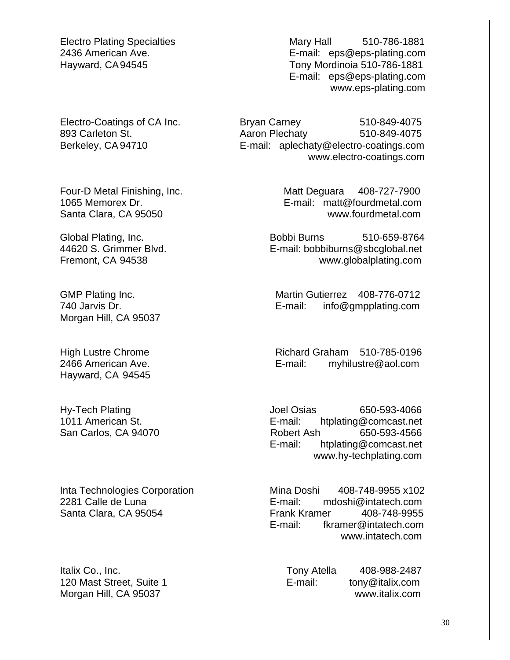Morgan Hill, CA 95037

Hayward, CA 94545

Electro Plating Specialties Mary Hall 510-786-1881 2436 American Ave. E-mail: eps@eps-plating.com Hayward, CA 94545 Tony Mordinoia 510-786-1881 E-mail: eps@eps-plating.com www.eps-plating.com

Electro-Coatings of CA Inc. Bryan Carney 510-849-4075 893 Carleton St. **Aaron Plechaty** 510-849-4075 Berkeley, CA 94710 E-mail: aplechaty@electro-coatings.com www.electro-coatings.com

Four-D Metal Finishing, Inc. The Matt Deguara 408-727-7900 1065 Memorex Dr. E-mail: matt@fourdmetal.com Santa Clara, CA 95050 www.fourdmetal.com

Global Plating, Inc. The Coloration of Bobbi Burns 510-659-8764 44620 S. Grimmer Blvd. E-mail: bobbiburns@sbcglobal.net Fremont, CA 94538 www.globalplating.com

GMP Plating Inc. The Contract of Martin Gutierrez 408-776-0712 740 Jarvis Dr. E-mail: info@gmpplating.com

High Lustre Chrome **Richard Graham 510-785-0196** 2466 American Ave. E-mail: myhilustre@aol.com

Hy-Tech Plating The Contract Contract Contract Contract Joel Osias 650-593-4066 1011 American St. E-mail: htplating@comcast.net San Carlos, CA 94070 Robert Ash 650-593-4566 E-mail: htplating@comcast.net www.hy-techplating.com

Inta Technologies Corporation Mina Doshi 408-748-9955 x102 2281 Calle de Luna E-mail: mdoshi@intatech.com Santa Clara, CA 95054 Frank Kramer 408-748-9955 E-mail: fkramer@intatech.com www.intatech.com

Italix Co., Inc. **Inc.** Tony Atella 408-988-2487 120 Mast Street, Suite 1 example 1 E-mail: tony@italix.com Morgan Hill, CA 95037 www.italix.com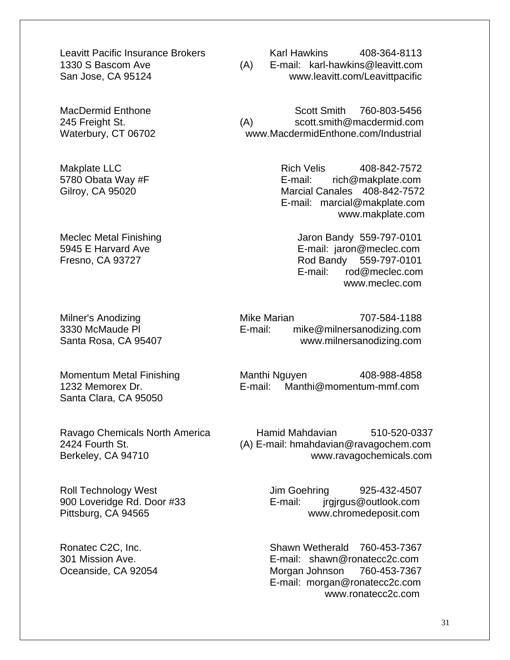Santa Clara, CA 95050

Leavitt Pacific Insurance Brokers Karl Hawkins 408-364-8113 1330 S Bascom Ave (A) E-mail: karl-hawkins@leavitt.com San Jose, CA 95124 www.leavitt.com/Leavittpacific

MacDermid Enthone Scott Smith 760-803-5456 245 Freight St. (A) scott.smith@macdermid.com Waterbury, CT 06702 www.MacdermidEnthone.com/Industrial

Makplate LLC **Rich Velis** 408-842-7572 5780 Obata Way #F **E-mail:** rich@makplate.com Gilroy, CA 95020 Marcial Canales 408-842-7572 E-mail: marcial@makplate.com www.makplate.com

Meclec Metal Finishing Meclec Metal Aristote Control of Meclec Metal Aristote Control of Meclec Metal Aristote M 5945 E Harvard Ave **E-mail:** jaron@meclec.com Fresno, CA 93727 Rod Bandy 559-797-0101 E-mail: rod@meclec.com www.meclec.com

Milner's Anodizing The Mike Marian 707-584-1188 3330 McMaude Pl E-mail: mike@milnersanodizing.com Santa Rosa, CA 95407 www.milnersanodizing.com

Momentum Metal Finishing Manthi Nguyen 408-988-4858 1232 Memorex Dr. E-mail: Manthi@momentum-mmf.com

Ravago Chemicals North America **Hamid Mahdavian** 510-520-0337 2424 Fourth St. (A) E-mail: hmahdavian@ravagochem.com Berkeley, CA 94710 www.ravagochemicals.com

Roll Technology West Jim Goehring 925-432-4507 900 Loveridge Rd. Door #33 E-mail: jrgirgus@outlook.com Pittsburg, CA 94565 www.chromedeposit.com

Ronatec C2C, Inc. Shawn Wetherald 760-453-7367 301 Mission Ave. E-mail: shawn@ronatecc2c.com Oceanside, CA 92054 Morgan Johnson 760-453-7367 E-mail: morgan@ronatecc2c.com www.ronatecc2c.com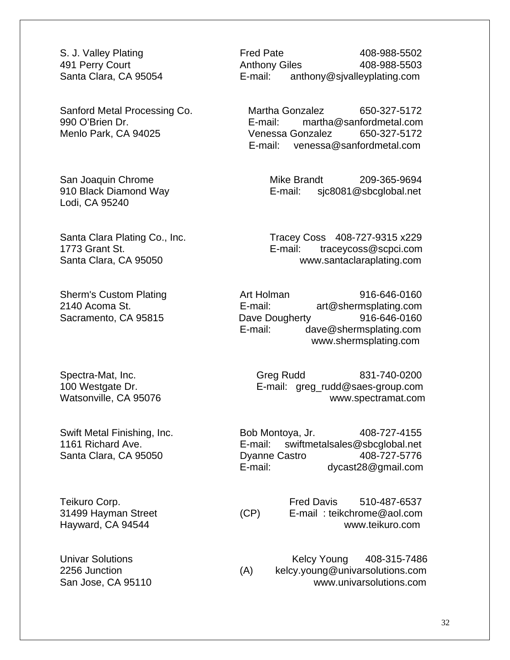Lodi, CA 95240

S. J. Valley Plating **Fred Pate** Fred Pate 408-988-5502 491 Perry Court **Anthony Giles** 408-988-5503 Santa Clara, CA 95054 E-mail: anthony@sjvalleyplating.com

Sanford Metal Processing Co. Martha Gonzalez 650-327-5172 990 O'Brien Dr. E-mail: martha@sanfordmetal.com Menlo Park, CA 94025 Venessa Gonzalez 650-327-5172 E-mail: venessa@sanfordmetal.com

San Joaquin Chrome **Mike Brandt** 209-365-9694 910 Black Diamond Way E-mail: sjc8081@sbcglobal.net

Santa Clara Plating Co., Inc. Tracey Coss 408-727-9315 x229 1773 Grant St. E-mail: traceycoss@scpci.com Santa Clara, CA 95050 www.santaclaraplating.com

Sherm's Custom Plating **Art Holman** 916-646-0160 2140 Acoma St. E-mail: art@shermsplating.com Sacramento, CA 95815 Dave Dougherty 916-646-0160 E-mail: dave@shermsplating.com www.shermsplating.com

Spectra-Mat, Inc. Cases Controller Greg Rudd B31-740-0200 100 Westgate Dr. E-mail: greg\_rudd@saes-group.com Watsonville, CA 95076 www.spectramat.com

Swift Metal Finishing, Inc. Bob Montoya, Jr. 408-727-4155 1161 Richard Ave. E-mail: swiftmetalsales@sbcglobal.net Santa Clara, CA 95050 **Dyanne Castro 618-727-5776** E-mail: dycast28@gmail.com

Teikuro Corp. The Corp. Teikuro Corp. Community Corp. Corp. Corp. Corp. The Corp. Corp. Corp. Corp. The Corp. Corp. Corp. Corp. Corp. Corp. Corp. Corp. Corp. Corp. Corp. Corp. Corp. Corp. Corp. Corp. Corp. Corp. Corp. Corp 31499 Hayman Street (CP) E-mail : teikchrome@aol.com Hayward, CA 94544 www.teikuro.com

Univar Solutions **Kelcy Young** 408-315-7486 2256 Junction (A) kelcy.young@univarsolutions.com San Jose, CA 95110 www.univarsolutions.com